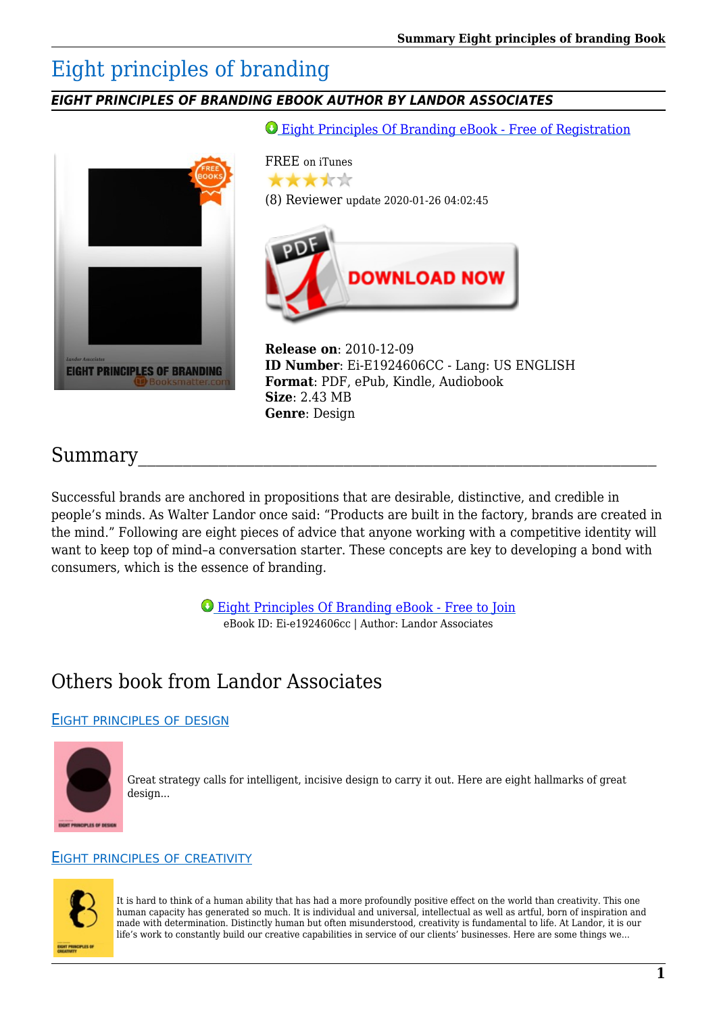# Eight principles of branding

## *EIGHT PRINCIPLES OF BRANDING EBOOK AUTHOR BY LANDOR ASSOCIATES*

[Eight Principles Of Branding eBook - Free of Registration](https://booksmatter.com/dl/FreeSignUp/551858014)



## Summary

Successful brands are anchored in propositions that are desirable, distinctive, and credible in people's minds. As Walter Landor once said: "Products are built in the factory, brands are created in the mind." Following are eight pieces of advice that anyone working with a competitive identity will want to keep top of mind–a conversation starter. These concepts are key to developing a bond with consumers, which is the essence of branding.

> [Eight Principles Of Branding eBook - Free to Join](https://booksmatter.com/dl/FreeSignUp/551858014) eBook ID: Ei-e1924606cc | Author: Landor Associates

## Others book from Landor Associates

## EIGHT [PRINCIPLES](https://booksmatter.com/free-books/design/eight-principles-of-design-id551859679.html) OF DESIGN



Great strategy calls for intelligent, incisive design to carry it out. Here are eight hallmarks of great design...

### EIGHT PRINCIPLES OF [CREATIVITY](https://booksmatter.com/free-books/design/eight-principles-of-creativity-id551858703.html)



It is hard to think of a human ability that has had a more profoundly positive effect on the world than creativity. This one human capacity has generated so much. It is individual and universal, intellectual as well as artful, born of inspiration and made with determination. Distinctly human but often misunderstood, creativity is fundamental to life. At Landor, it is our life's work to constantly build our creative capabilities in service of our clients' businesses. Here are some things we...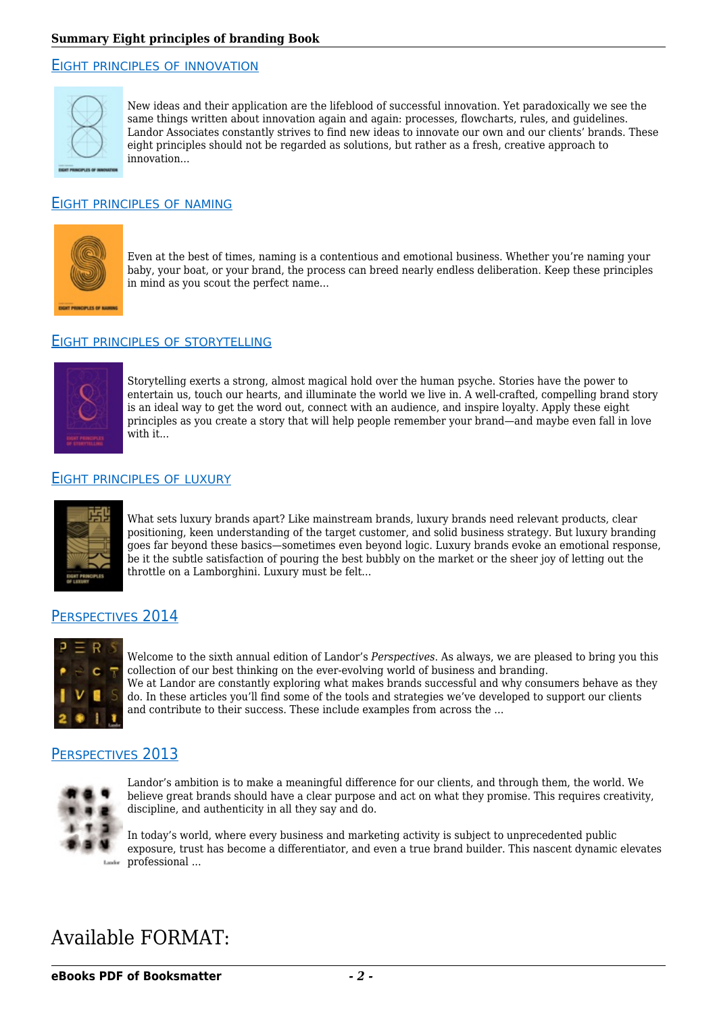#### EIGHT PRINCIPLES OF [INNOVATION](https://booksmatter.com/free-books/design/eight-principles-of-innovation-id551860159.html)



New ideas and their application are the lifeblood of successful innovation. Yet paradoxically we see the same things written about innovation again and again: processes, flowcharts, rules, and guidelines. Landor Associates constantly strives to find new ideas to innovate our own and our clients' brands. These eight principles should not be regarded as solutions, but rather as a fresh, creative approach to innovation...

#### EIGHT [PRINCIPLES](https://booksmatter.com/free-books/design/eight-principles-of-naming-id551861266.html) OF NAMING



Even at the best of times, naming is a contentious and emotional business. Whether you're naming your baby, your boat, or your brand, the process can breed nearly endless deliberation. Keep these principles in mind as you scout the perfect name...

#### EIGHT PRINCIPLES OF [STORYTELLING](https://booksmatter.com/free-books/design/eight-principles-of-storytelling-id883794533.html)



Storytelling exerts a strong, almost magical hold over the human psyche. Stories have the power to entertain us, touch our hearts, and illuminate the world we live in. A well-crafted, compelling brand story is an ideal way to get the word out, connect with an audience, and inspire loyalty. Apply these eight principles as you create a story that will help people remember your brand—and maybe even fall in love  $with$  if...

#### EIGHT [PRINCIPLES](https://booksmatter.com/free-books/design/eight-principles-of-luxury-id636101568.html) OF LUXURY



What sets luxury brands apart? Like mainstream brands, luxury brands need relevant products, clear positioning, keen understanding of the target customer, and solid business strategy. But luxury branding goes far beyond these basics—sometimes even beyond logic. Luxury brands evoke an emotional response, be it the subtle satisfaction of pouring the best bubbly on the market or the sheer joy of letting out the throttle on a Lamborghini. Luxury must be felt...

#### P[ERSPECTIVES](https://booksmatter.com/free-books/design/perspectives-2014-id831037089.html) 2014



Welcome to the sixth annual edition of Landor's *Perspectives*. As always, we are pleased to bring you this collection of our best thinking on the ever-evolving world of business and branding. We at Landor are constantly exploring what makes brands successful and why consumers behave as they do. In these articles you'll find some of the tools and strategies we've developed to support our clients and contribute to their success. These include examples from across the ...

### P[ERSPECTIVES](https://booksmatter.com/free-books/design/perspectives-2013-id605933135.html) 2013



Landor's ambition is to make a meaningful difference for our clients, and through them, the world. We believe great brands should have a clear purpose and act on what they promise. This requires creativity, discipline, and authenticity in all they say and do.

In today's world, where every business and marketing activity is subject to unprecedented public exposure, trust has become a differentiator, and even a true brand builder. This nascent dynamic elevates professional ...

## Available FORMAT: